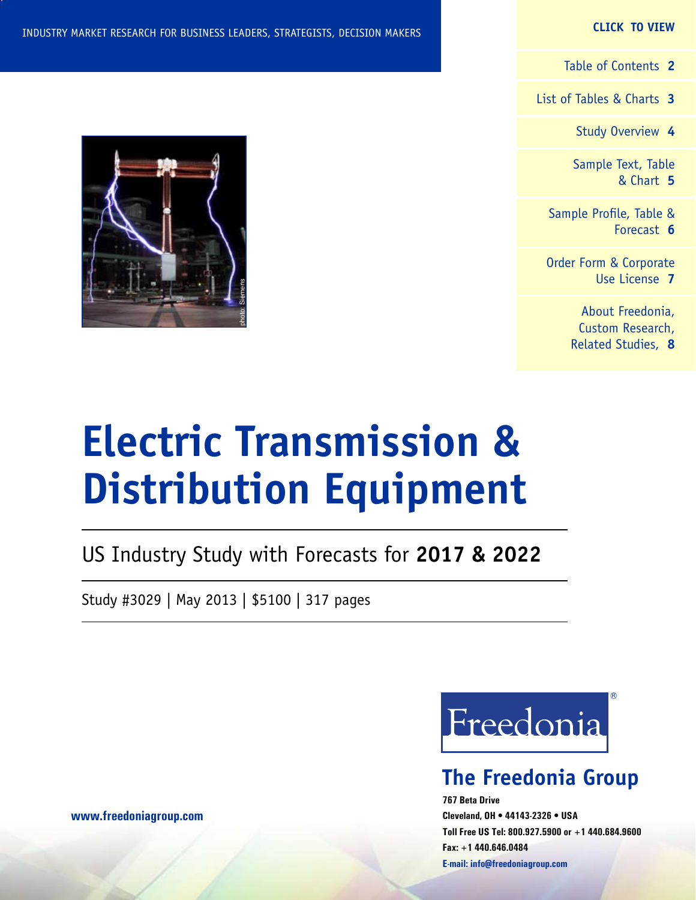#### **CLICK TO VIEW**

[Table of Contents](#page-1-0) **2**

[List of Tables & Charts](#page-2-0) **3**

[Study Overview](#page-3-0) **4**

[Sample Text, Table](#page-4-0) [& Chart](#page-4-0) **5**

[Sample Profile, Table &](#page-5-0) [Forecast](#page-5-0) **6**

[Order Form & Corporate](#page-6-0) [Use License](#page-6-0) **7**

> [About Freedonia,](#page-7-0) [Custom Research,](#page-7-0) [Related Studies,](#page-7-0) **8**

# **Electric Transmission & Distribution Equipment**

US Industry Study with Forecasts for **2017 & 2022**

Study #3029 | May 2013 | \$5100 | 317 pages

Freedonia

## **The Freedonia Group**

**767 Beta Drive Cleveland, OH • 44143-2326 • USA Toll Free US Tel: 800.927.5900 or +1 440.684.9600 Fax: +1 440.646.0484 E-mail: [info@freedoniagroup.com](mailto:info@freedoniagroup.com)**



**[www.freedoniagroup.com](http://www.freedoniagroup.com/Home.aspx?ReferrerId=FM-Bro)**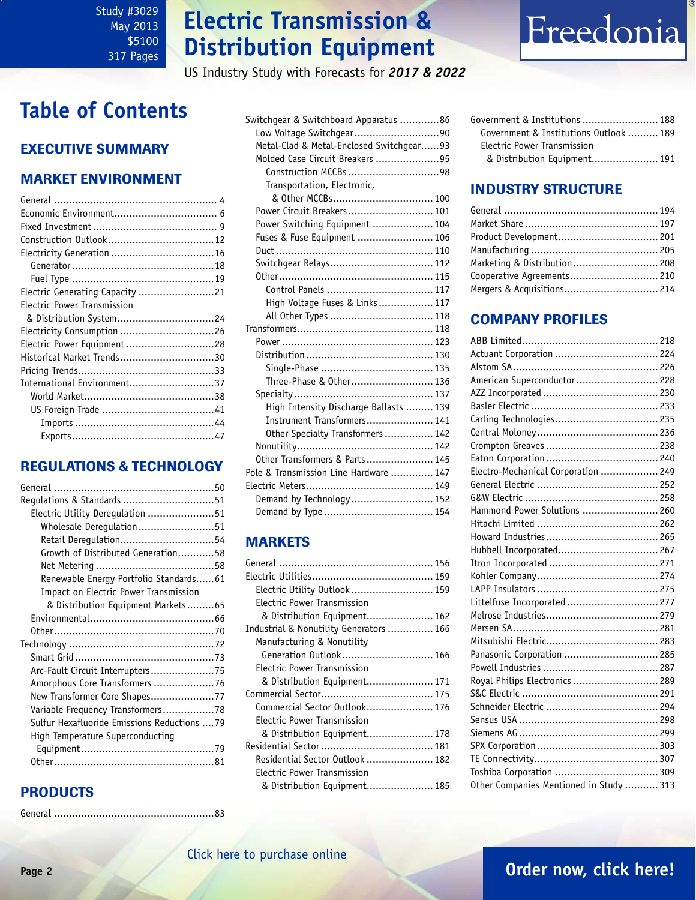## **Electric Transmission & Distribution Equipment**

US Industry Study with Forecasts for *2017 & 2022*

# Freedonia

## <span id="page-1-0"></span>**Table of Contents**

## Executive Summary

### Market EnvironmenT

| Electricity Generation  16      |
|---------------------------------|
|                                 |
|                                 |
| Electric Generating Capacity 21 |
| Electric Power Transmission     |
|                                 |
|                                 |
| Electric Power Equipment 28     |
| Historical Market Trends30      |
|                                 |
| International Environment37     |
|                                 |
|                                 |
|                                 |
|                                 |

### REGULATIONS & TECHNOLOGY

| Electric Utility Deregulation 51             |
|----------------------------------------------|
| Wholesale Deregulation 51                    |
| Retail Deregulation54                        |
| Growth of Distributed Generation58           |
|                                              |
| Renewable Energy Portfolio Standards61       |
| Impact on Electric Power Transmission        |
| & Distribution Equipment Markets65           |
|                                              |
|                                              |
|                                              |
|                                              |
| Arc-Fault Circuit Interrupters75             |
| Amorphous Core Transformers 76               |
| New Transformer Core Shapes77                |
| Variable Frequency Transformers78            |
| Sulfur Hexafluoride Emissions Reductions  79 |
| High Temperature Superconducting             |
|                                              |
|                                              |

## PRODUCTS

General .....................................................83

| Switchgear & Switchboard Apparatus 86    |  |
|------------------------------------------|--|
| Low Voltage Switchgear90                 |  |
| Metal-Clad & Metal-Enclosed Switchgear93 |  |
| Molded Case Circuit Breakers 95          |  |
| Construction MCCBs 98                    |  |
| Transportation, Electronic,              |  |
|                                          |  |
| Power Circuit Breakers  101              |  |
| Power Switching Equipment  104           |  |
| Fuses & Fuse Equipment  106              |  |
|                                          |  |
| Switchgear Relays 112                    |  |
|                                          |  |
| Control Panels  117                      |  |
| High Voltage Fuses & Links 117           |  |
| All Other Types  118                     |  |
|                                          |  |
|                                          |  |
|                                          |  |
|                                          |  |
| Three-Phase & Other 136                  |  |
|                                          |  |
| High Intensity Discharge Ballasts  139   |  |
| Instrument Transformers 141              |  |
| Other Specialty Transformers 142         |  |
|                                          |  |
| Other Transformers & Parts 145           |  |
| Pole & Transmission Line Hardware  147   |  |
|                                          |  |
| Demand by Technology 152                 |  |
|                                          |  |

### MARKETS

| Electric Utility Outlook  159           |  |
|-----------------------------------------|--|
| <b>Electric Power Transmission</b>      |  |
| & Distribution Equipment 162            |  |
| Industrial & Nonutility Generators  166 |  |
| Manufacturing & Nonutility              |  |
| Generation Outlook 166                  |  |
| Electric Power Transmission             |  |
| & Distribution Equipment 171            |  |
|                                         |  |
| Commercial Sector Outlook 176           |  |
| Electric Power Transmission             |  |
| & Distribution Equipment 178            |  |
|                                         |  |
| Residential Sector Outlook  182         |  |
| Electric Power Transmission             |  |
| & Distribution Equipment 185            |  |

Government & Institutions ......................... 188 Government & Institutions Outlook .......... 189 Electric Power Transmission & Distribution Equipment...................... 191

### INDUSTRY STRUCTURE

| Marketing & Distribution 208 |  |
|------------------------------|--|
|                              |  |
| Mergers & Acquisitions 214   |  |

### Company Profiles

| Actuant Corporation  224                |  |
|-----------------------------------------|--|
|                                         |  |
| American Superconductor  228            |  |
|                                         |  |
|                                         |  |
| Carling Technologies 235                |  |
|                                         |  |
|                                         |  |
|                                         |  |
| Electro-Mechanical Corporation  249     |  |
|                                         |  |
|                                         |  |
| Hammond Power Solutions  260            |  |
|                                         |  |
|                                         |  |
| Hubbell Incorporated 267                |  |
|                                         |  |
|                                         |  |
|                                         |  |
| Littelfuse Incorporated  277            |  |
|                                         |  |
|                                         |  |
|                                         |  |
| Panasonic Corporation  285              |  |
|                                         |  |
| Royal Philips Electronics  289          |  |
|                                         |  |
|                                         |  |
|                                         |  |
|                                         |  |
|                                         |  |
|                                         |  |
|                                         |  |
| Other Companies Mentioned in Study  313 |  |
|                                         |  |

## **Page 2 [Order now, click here!](#page-6-0)**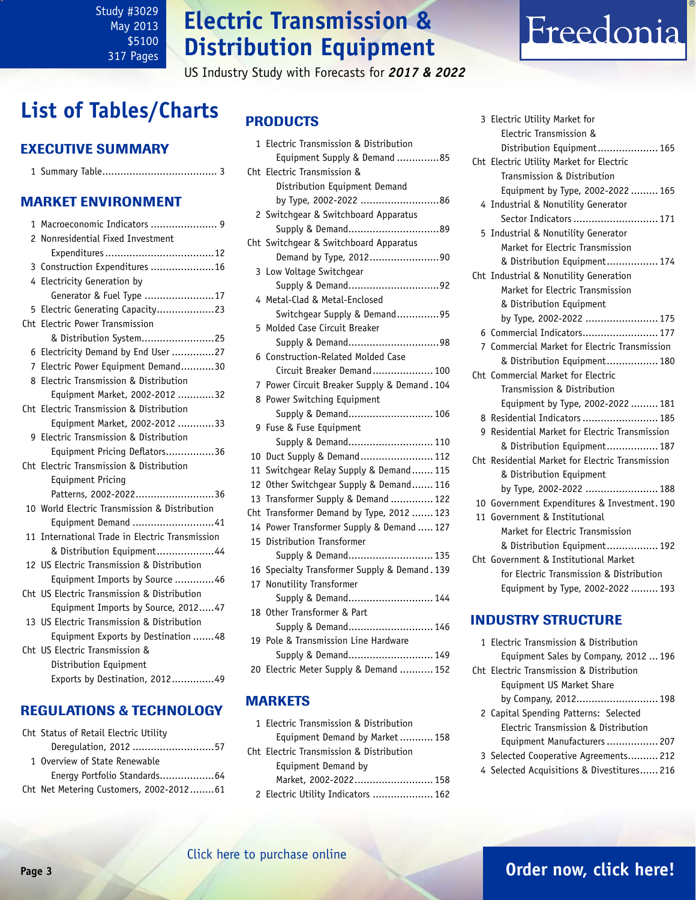## **Electric Transmission & Distribution Equipment**

US Industry Study with Forecasts for *2017 & 2022*

# Freedonia

## <span id="page-2-0"></span>**List of Tables/Charts**

### Executive Summary

|--|--|

#### Market EnvironmenT

| 1    | Macroeconomic Indicators  9                   |
|------|-----------------------------------------------|
| 2    | Nonresidential Fixed Investment               |
|      |                                               |
|      | 3 Construction Expenditures  16               |
|      | 4 Electricity Generation by                   |
|      | Generator & Fuel Type 17                      |
| 5    | Electric Generating Capacity23                |
| Cht. | Electric Power Transmission                   |
|      | & Distribution System25                       |
| 6    | Electricity Demand by End User 27             |
| 7    | Electric Power Equipment Demand30             |
| 8    | Electric Transmission & Distribution          |
|      | Equipment Market, 2002-2012 32                |
|      | Cht Electric Transmission & Distribution      |
|      | Equipment Market, 2002-2012 33                |
|      | 9 Electric Transmission & Distribution        |
|      | Equipment Pricing Deflators36                 |
|      | Cht Electric Transmission & Distribution      |
|      | <b>Equipment Pricing</b>                      |
|      | Patterns, 2002-202236                         |
|      | 10 World Electric Transmission & Distribution |
|      | Equipment Demand 41                           |
| 11   | International Trade in Electric Transmission  |
|      | & Distribution Equipment44                    |
|      | 12 US Electric Transmission & Distribution    |
|      | Equipment Imports by Source 46                |
|      | Cht US Electric Transmission & Distribution   |
|      | Equipment Imports by Source, 201247           |
|      | 13 US Electric Transmission & Distribution    |
|      | Equipment Exports by Destination 48           |
|      | Cht US Electric Transmission &                |
|      | Distribution Equipment                        |
|      | Exports by Destination, 201249                |

#### REGULATIONS & TECHNOLOGY

| Cht Status of Retail Electric Utility   |  |
|-----------------------------------------|--|
| Derequlation, 2012 57                   |  |
| 1 Overview of State Renewable           |  |
| Energy Portfolio Standards64            |  |
| Cht Net Metering Customers, 2002-201261 |  |

#### **PRODUCTS**

|     | 1 Electric Transmission & Distribution<br>Equipment Supply & Demand 85 |
|-----|------------------------------------------------------------------------|
| Cht | Electric Transmission &                                                |
|     | Distribution Equipment Demand                                          |
|     | by Type, 2002-2022 86                                                  |
|     | 2 Switchgear & Switchboard Apparatus                                   |
|     | Supply & Demand89                                                      |
|     | Cht Switchgear & Switchboard Apparatus                                 |
|     | Demand by Type, 201290                                                 |
| 3   | Low Voltage Switchgear                                                 |
|     | Supply & Demand92                                                      |
| 4   | Metal-Clad & Metal-Enclosed                                            |
|     | Switchgear Supply & Demand95                                           |
| 5   | Molded Case Circuit Breaker                                            |
|     |                                                                        |
| 6   | <b>Construction-Related Molded Case</b>                                |
|     | Circuit Breaker Demand 100                                             |
| 7   | Power Circuit Breaker Supply & Demand. 104                             |
| 8   | Power Switching Equipment                                              |
|     | Supply & Demand 106                                                    |
|     | 9 Fuse & Fuse Equipment                                                |
|     | Supply & Demand 110                                                    |
| 10  | Duct Supply & Demand 112                                               |
| 11  | Switchgear Relay Supply & Demand 115                                   |
| 12  | Other Switchgear Supply & Demand 116                                   |
| 13  | Transformer Supply & Demand  122                                       |
| Cht | Transformer Demand by Type, 2012  123                                  |
| 14  | Power Transformer Supply & Demand  127                                 |
| 15  | Distribution Transformer                                               |
|     | Supply & Demand 135                                                    |
| 16  | Specialty Transformer Supply & Demand. 139                             |
| 17  | Nonutility Transformer                                                 |
|     | Supply & Demand 144                                                    |
| 18  | Other Transformer & Part                                               |
|     | Supply & Demand 146                                                    |
| 19  | Pole & Transmission Line Hardware                                      |
|     | Supply & Demand 149                                                    |
|     | 20 Electric Meter Supply & Demand  152                                 |

#### MARKETS

1 Electric Transmission & Distribution Equipment Demand by Market........... 158 Cht Electric Transmission & Distribution Equipment Demand by Market, 2002-2022.......................... 158 2 Electric Utility Indicators .................... 162

| 3 Electric Utility Market for                    |
|--------------------------------------------------|
| Electric Transmission &                          |
| Distribution Equipment 165                       |
| Cht Electric Utility Market for Electric         |
| Transmission & Distribution                      |
| Equipment by Type, 2002-2022  165                |
| 4 Industrial & Nonutility Generator              |
| Sector Indicators  171                           |
| 5 Industrial & Nonutility Generator              |
| Market for Electric Transmission                 |
| & Distribution Equipment 174                     |
| Cht Industrial & Nonutility Generation           |
| Market for Electric Transmission                 |
| & Distribution Equipment                         |
| by Type, 2002-2022  175                          |
|                                                  |
| 7 Commercial Market for Electric Transmission    |
| & Distribution Equipment 180                     |
| Cht, Commercial Market for Electric              |
| Transmission & Distribution                      |
| Equipment by Type, 2002-2022  181                |
| 8 Residential Indicators  185                    |
| 9 Residential Market for Electric Transmission   |
| & Distribution Equipment 187                     |
| Cht Residential Market for Electric Transmission |
| & Distribution Equipment                         |
| by Type, 2002-2022  188                          |
| 10 Government Expenditures & Investment. 190     |
| 11 Government & Institutional                    |
| Market for Electric Transmission                 |
| & Distribution Equipment 192                     |
| Cht Government & Institutional Market            |
| for Electric Transmission & Distribution         |
| Equipment by Type, 2002-2022  193                |

#### INDUSTRY STRUCTURE

| 1 Electric Transmission & Distribution     |
|--------------------------------------------|
| Equipment Sales by Company, 2012  196      |
| Cht Electric Transmission & Distribution   |
| Equipment US Market Share                  |
| by Company, 2012 198                       |
| 2 Capital Spending Patterns: Selected      |
| Electric Transmission & Distribution       |
| Equipment Manufacturers  207               |
| 3 Selected Cooperative Agreements 212      |
| 4 Selected Acquisitions & Divestitures 216 |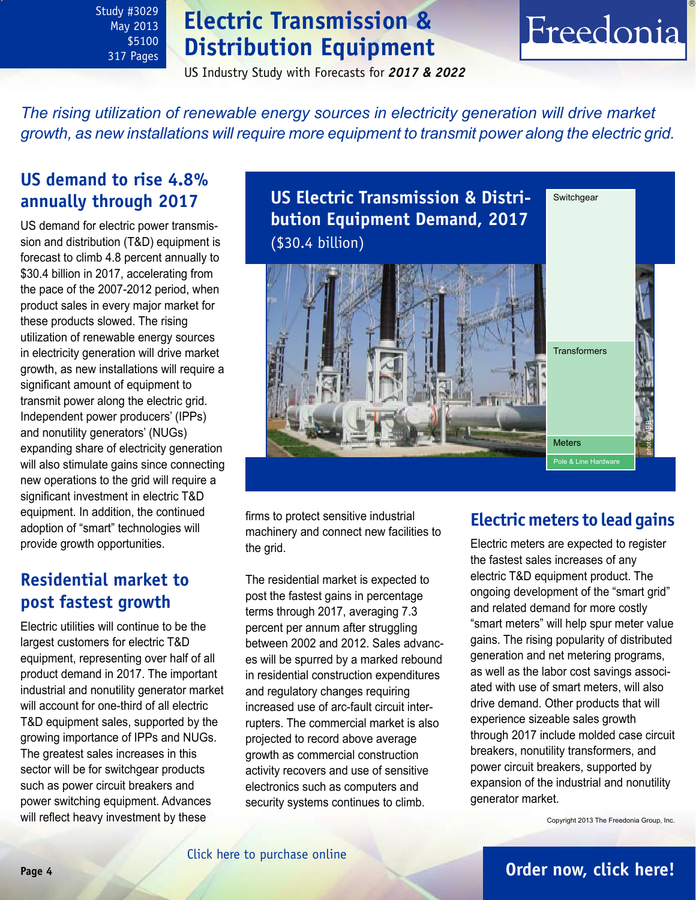## **Electric Transmission & Distribution Equipment**

Freedonia

US Industry Study with Forecasts for *2017 & 2022*

<span id="page-3-0"></span>*The rising utilization of renewable energy sources in electricity generation will drive market growth, as new installations will require more equipment to transmit power along the electric grid.*

## **US demand to rise 4.8% annually through 2017**

US demand for electric power transmission and distribution (T&D) equipment is forecast to climb 4.8 percent annually to \$30.4 billion in 2017, accelerating from the pace of the 2007-2012 period, when product sales in every major market for these products slowed. The rising utilization of renewable energy sources in electricity generation will drive market growth, as new installations will require a significant amount of equipment to transmit power along the electric grid. Independent power producers' (IPPs) and nonutility generators' (NUGs) expanding share of electricity generation will also stimulate gains since connecting new operations to the grid will require a significant investment in electric T&D equipment. In addition, the continued adoption of "smart" technologies will provide growth opportunities.

## **Residential market to post fastest growth**

Electric utilities will continue to be the largest customers for electric T&D equipment, representing over half of all product demand in 2017. The important industrial and nonutility generator market will account for one-third of all electric T&D equipment sales, supported by the growing importance of IPPs and NUGs. The greatest sales increases in this sector will be for switchgear products such as power circuit breakers and power switching equipment. Advances will reflect heavy investment by these

**US Electric Transmission & Distribution Equipment Demand, 2017** (\$30.4 billion) **Switchgear** Meters **Transformers** Pole & Line Hardwar photo: ABB

firms to protect sensitive industrial machinery and connect new facilities to the grid.

The residential market is expected to post the fastest gains in percentage terms through 2017, averaging 7.3 percent per annum after struggling between 2002 and 2012. Sales advances will be spurred by a marked rebound in residential construction expenditures and regulatory changes requiring increased use of arc-fault circuit interrupters. The commercial market is also projected to record above average growth as commercial construction activity recovers and use of sensitive electronics such as computers and security systems continues to climb.

## **Electric meters to lead gains**

Electric meters are expected to register the fastest sales increases of any electric T&D equipment product. The ongoing development of the "smart grid" and related demand for more costly "smart meters" will help spur meter value gains. The rising popularity of distributed generation and net metering programs, as well as the labor cost savings associated with use of smart meters, will also drive demand. Other products that will experience sizeable sales growth through 2017 include molded case circuit breakers, nonutility transformers, and power circuit breakers, supported by expansion of the industrial and nonutility generator market.

Copyright 2013 The Freedonia Group, Inc.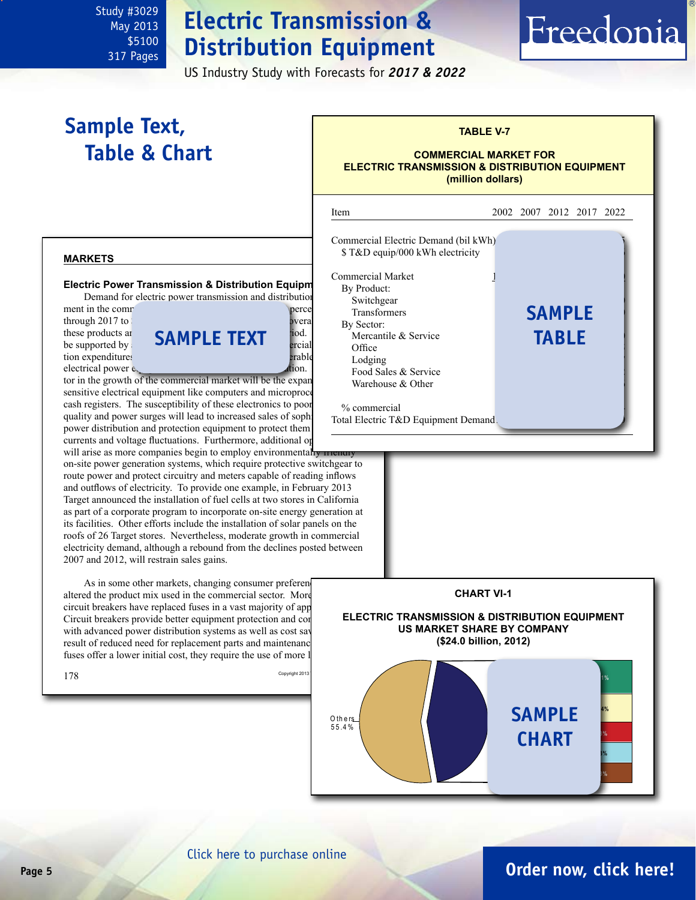## **Electric Transmission & Distribution Equipment**

US Industry Study with Forecasts for *2017 & 2022*

## <span id="page-4-0"></span>**Sample Text, Table & Chart**

#### **TABLE V-7**

Freedonia

#### **COMMERCIAL MARKET FOR ELECTRIC TRANSMISSION & DISTRIBUTION EQUIPMENT (million dollars)**

#### **markets**

tion expenditures

#### **Electric Power Transmission & Distribution Equipm**

Demand for electric power transmission and distribution ment in the commercial sector is expected to commercial sector is expected to commercial sector is expected to contract and  $\frac{1}{2}$ 



tor in the growth of the commercial market will be the expanded sensitive electrical equipment like computers and microproce cash registers. The susceptibility of these electronics to poor quality and power surges will lead to increased sales of sophi power distribution and protection equipment to protect them currents and voltage fluctuations. Furthermore, additional op will arise as more companies begin to employ environmentally

on-site power generation systems, which require protective switchgear to route power and protect circuitry and meters capable of reading inflows and outflows of electricity. To provide one example, in February 2013 Target announced the installation of fuel cells at two stores in California as part of a corporate program to incorporate on-site energy generation at its facilities. Other efforts include the installation of solar panels on the roofs of 26 Target stores. Nevertheless, moderate growth in commercial electricity demand, although a rebound from the declines posted between 2007 and 2012, will restrain sales gains.

As in some other markets, changing consumer preferen altered the product mix used in the commercial sector. More circuit breakers have replaced fuses in a vast majority of app Circuit breakers provide better equipment protection and con with advanced power distribution systems as well as cost say result of reduced need for replacement parts and maintenance fuses offer a lower initial cost, they require the use of more l

j Item 2002 2007 2012 2017 2022 Commercial Electric Demand (bil kWh)<sup>1</sup> \$ T&D equip/000 kWh electricity Commercial Market By Product: Switchgear Transformers **370 SAMPLE** By Sector: Mercantile & Service Office  $\overline{a}$  32  $\overline{a}$  485  $\overline{a}$ Lodging Food Sales & Service Warehouse  $&$  Other % commercial Total Electric T&D Equipment Demand **table**



## **Page 5 [Order now, click here!](#page-6-0)**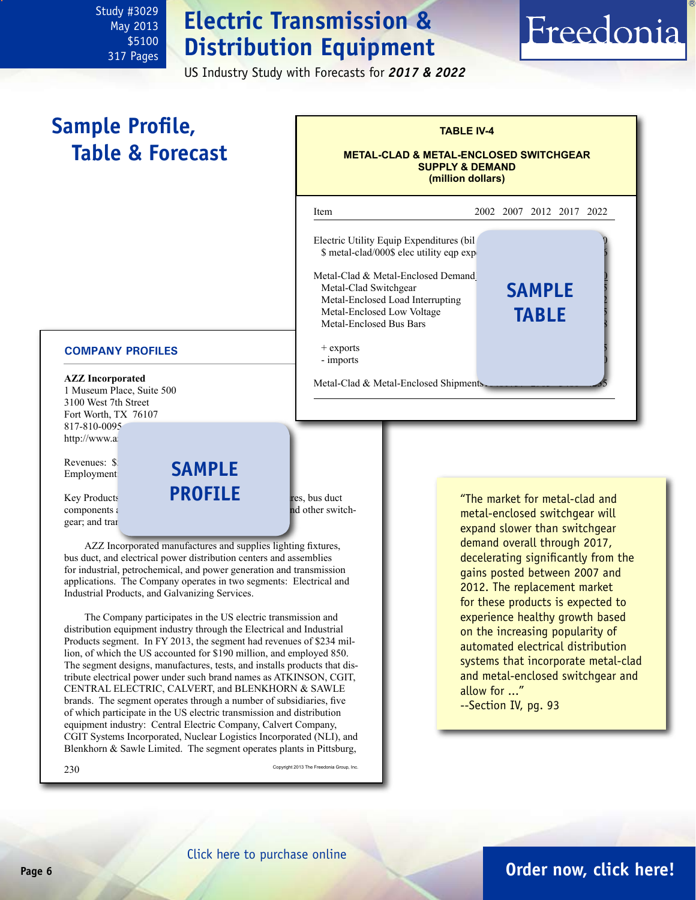## **Electric Transmission & Distribution Equipment**

US Industry Study with Forecasts for *2017 & 2022*

# Freedonia

#### <span id="page-5-0"></span>**TABLE IV-4 METAL-CLAD & METAL-ENCLOSED SWITCHGEAR SUPPLY & DEMAND (million dollars)** j Item 2002 2007 2012 2017 2022 Electric Utility Equip Expenditures (bil  $$ metal-clad/000$ elec utility eqp exp<sub>2</sub>$ Metal-Clad & Metal-Enclosed Demand1 Metal-Clad Switchgear Metal-Enclosed Load Interrupting Metal-Enclosed Low Voltage Metal-Enclosed Bus Bars + exports - imports Metal-Clad & Metal-Enclosed Shipments. **Sample Profile, Table & Forecast sample table**

### **COMPANY PROFILES**

**AZZ Incorporated** 1 Museum Place, Suite 500 3100 West 7th Street Fort Worth, TX 76107 817-810-0095 http://www.az

Revenues: \$2 Employment:

 $Key$  Products **FRUFILE** res. bus duct gear; and trans

 $components$  and  $b$  systems, protective relay panels, and other switch-

AZZ Incorporated manufactures and supplies lighting fixtures, bus duct, and electrical power distribution centers and assemblies for industrial, petrochemical, and power generation and transmission applications. The Company operates in two segments: Electrical and Industrial Products, and Galvanizing Services.

**sample**

**profile**

The Company participates in the US electric transmission and distribution equipment industry through the Electrical and Industrial Products segment. In FY 2013, the segment had revenues of \$234 million, of which the US accounted for \$190 million, and employed 850. The segment designs, manufactures, tests, and installs products that distribute electrical power under such brand names as ATKINSON, CGIT, CENTRAL ELECTRIC, CALVERT, and BLENKHORN & SAWLE brands. The segment operates through a number of subsidiaries, five of which participate in the US electric transmission and distribution equipment industry: Central Electric Company, Calvert Company, CGIT Systems Incorporated, Nuclear Logistics Incorporated (NLI), and Blenkhorn & Sawle Limited. The segment operates plants in Pittsburg,

 $230$  Copyright 2013 The Freedonia Group, Inc.

expand slower than switchgear demand overall through 2017, decelerating significantly from the gains posted between 2007 and 2012. The replacement market for these products is expected to experience healthy growth based on the increasing popularity of automated electrical distribution systems that incorporate metal-clad and metal-enclosed switchgear and allow for ..."

"The market for metal-clad and metal-enclosed switchgear will

--Section IV, pg. 93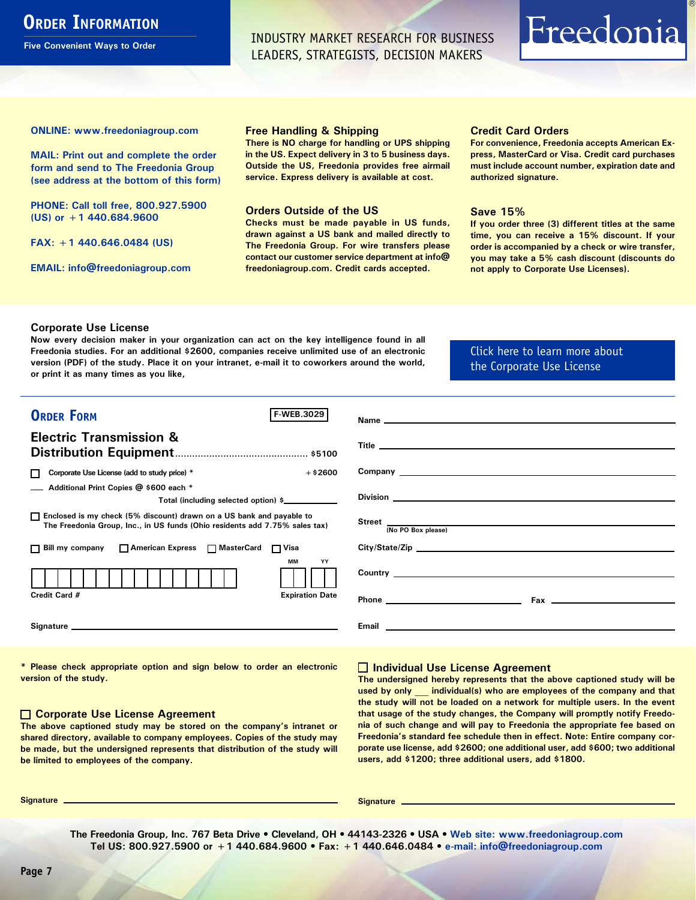## <span id="page-6-0"></span>**ORDER INFORMATION**

**Five Convenient Ways to Order**

INDUSTRY MARKET RESEARCH FOR BUSINESS LEADERS, STRATEGISTS, DECISION MAKERS

# Freedonia

**ONLINE: [www.freedoniagroup.com](http://www.freedoniagroup.com/DocumentDetails.aspx?Referrerid=FM-Bro&StudyID=3029)**

**MAIL: Print out and complete the order form and send to The Freedonia Group (see address at the bottom of this form)**

**PHONE: Call toll free, 800.927.5900 (US) or +1 440.684.9600**

**FAX: +1 440.646.0484 (US)**

**EMAIL: [info@freedoniagroup.com](mailto:info@freedoniagroup.com)**

#### **Free Handling & Shipping**

**There is NO charge for handling or UPS shipping in the US. Expect delivery in 3 to 5 business days. Outside the US, Freedonia provides free airmail service. Express delivery is available at cost.**

#### **Orders Outside of the US**

**Checks must be made payable in US funds, drawn against a US bank and mailed directly to The Freedonia Group. For wire transfers please contact our customer service department at info@ freedoniagroup.com. Credit cards accepted.**

#### **Credit Card Orders**

**For convenience, Freedonia accepts American Express, MasterCard or Visa. Credit card purchases must include account number, expiration date and authorized signature.**

#### **Save 15%**

**If you order three (3) different titles at the same time, you can receive a 15% discount. If your order is accompanied by a check or wire transfer, you may take a 5% cash discount (discounts do not apply to Corporate Use Licenses).**

#### **Corporate Use License**

**Now every decision maker in your organization can act on the key intelligence found in all Freedonia studies. For an additional \$2600, companies receive unlimited use of an electronic version (PDF) of the study. Place it on your intranet, e-mail it to coworkers around the world, or print it as many times as you like,** 

#### [Click here to learn more about](http://www.freedoniagroup.com/pdf/FreedoniaCULBro.pdf)  [the Corporate Use License](http://www.freedoniagroup.com/pdf/FreedoniaCULBro.pdf)

| <b>ORDER FORM</b><br><b>F-WEB.3029</b>                                                                                                                |                                                                                                                                                                                                                                     |
|-------------------------------------------------------------------------------------------------------------------------------------------------------|-------------------------------------------------------------------------------------------------------------------------------------------------------------------------------------------------------------------------------------|
| <b>Electric Transmission &amp;</b>                                                                                                                    |                                                                                                                                                                                                                                     |
|                                                                                                                                                       |                                                                                                                                                                                                                                     |
| Corporate Use License (add to study price) *<br>$+$ \$2600<br>П                                                                                       |                                                                                                                                                                                                                                     |
| Additional Print Copies @ \$600 each *<br>Total (including selected option) \$                                                                        |                                                                                                                                                                                                                                     |
| □ Enclosed is my check (5% discount) drawn on a US bank and payable to<br>The Freedonia Group, Inc., in US funds (Ohio residents add 7.75% sales tax) | Street<br>(No PO Box please)                                                                                                                                                                                                        |
|                                                                                                                                                       |                                                                                                                                                                                                                                     |
| □ Bill my company □ American Express □ MasterCard □ Visa                                                                                              | City/State/Zip                                                                                                                                                                                                                      |
| <b>MM</b><br>YY                                                                                                                                       |                                                                                                                                                                                                                                     |
| Credit Card #<br><b>Expiration Date</b>                                                                                                               |                                                                                                                                                                                                                                     |
|                                                                                                                                                       | Email <u>experience</u> and the contract of the contract of the contract of the contract of the contract of the contract of the contract of the contract of the contract of the contract of the contract of the contract of the con |

**\* Please check appropriate option and sign below to order an electronic version of the study.**

#### **Corporate Use License Agreement**

**The above captioned study may be stored on the company's intranet or shared directory, available to company employees. Copies of the study may be made, but the undersigned represents that distribution of the study will be limited to employees of the company.**

#### **Individual Use License Agreement**

**The undersigned hereby represents that the above captioned study will be used by only \_\_\_ individual(s) who are employees of the company and that the study will not be loaded on a network for multiple users. In the event that usage of the study changes, the Company will promptly notify Freedonia of such change and will pay to Freedonia the appropriate fee based on Freedonia's standard fee schedule then in effect. Note: Entire company corporate use license, add \$2600; one additional user, add \$600; two additional users, add \$1200; three additional users, add \$1800.**

**Signature Signature**

**The Freedonia Group, Inc. 767 Beta Drive • Cleveland, OH • 44143-2326 • USA • [Web site: www.freedoniagroup.com](http://www.freedoniagroup.com/Home.aspx?ReferrerId=FM-Bro) Tel US: 800.927.5900 or +1 440.684.9600 • Fax: +1 440.646.0484 • [e-mail: info@freedoniagroup.com](mailto:info@freedoniagroup.com)**